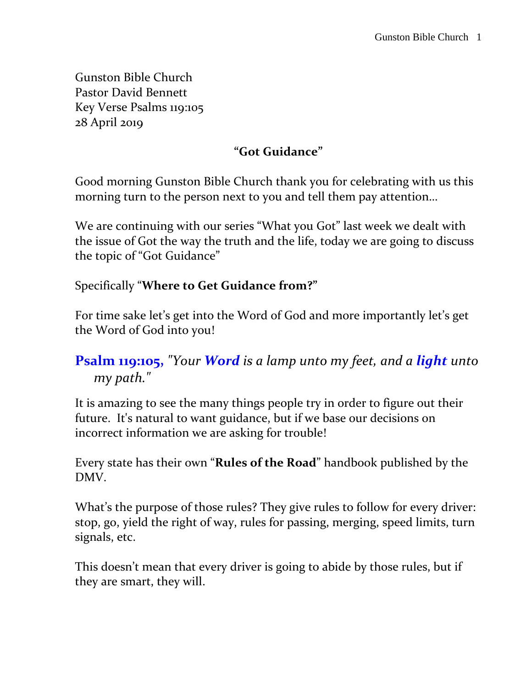Gunston Bible Church Pastor David Bennett Key Verse Psalms 119:105 28 April 2019

#### **"Got Guidance"**

Good morning Gunston Bible Church thank you for celebrating with us this morning turn to the person next to you and tell them pay attention…

We are continuing with our series "What you Got" last week we dealt with the issue of Got the way the truth and the life, today we are going to discuss the topic of "Got Guidance"

#### Specifically "**Where to Get Guidance from?"**

For time sake let's get into the Word of God and more importantly let's get the Word of God into you!

### **Psalm 119:105,** *"Your Word is a lamp unto my feet, and a light unto my path."*

It is amazing to see the many things people try in order to figure out their future. It's natural to want guidance, but if we base our decisions on incorrect information we are asking for trouble!

Every state has their own "**Rules of the Road**" handbook published by the DMV.

What's the purpose of those rules? They give rules to follow for every driver: stop, go, yield the right of way, rules for passing, merging, speed limits, turn signals, etc.

This doesn't mean that every driver is going to abide by those rules, but if they are smart, they will.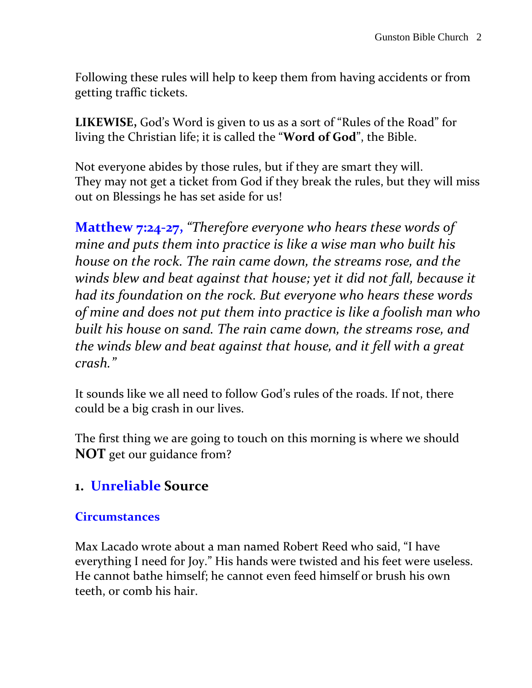Following these rules will help to keep them from having accidents or from getting traffic tickets.

**LIKEWISE,** God's Word is given to us as a sort of "Rules of the Road" for living the Christian life; it is called the "**Word of God**", the Bible.

Not everyone abides by those rules, but if they are smart they will. They may not get a ticket from God if they break the rules, but they will miss out on Blessings he has set aside for us!

**Matthew 7:24-27,** *"Therefore everyone who hears these words of mine and puts them into practice is like a wise man who built his house on the rock. The rain came down, the streams rose, and the winds blew and beat against that house; yet it did not fall, because it had its foundation on the rock. But everyone who hears these words of mine and does not put them into practice is like a foolish man who built his house on sand. The rain came down, the streams rose, and the winds blew and beat against that house, and it fell with a great crash."*

It sounds like we all need to follow God's rules of the roads. If not, there could be a big crash in our lives.

The first thing we are going to touch on this morning is where we should **NOT** get our guidance from?

### **1. Unreliable Source**

#### **Circumstances**

Max Lacado wrote about a man named Robert Reed who said, "I have everything I need for Joy." His hands were twisted and his feet were useless. He cannot bathe himself; he cannot even feed himself or brush his own teeth, or comb his hair.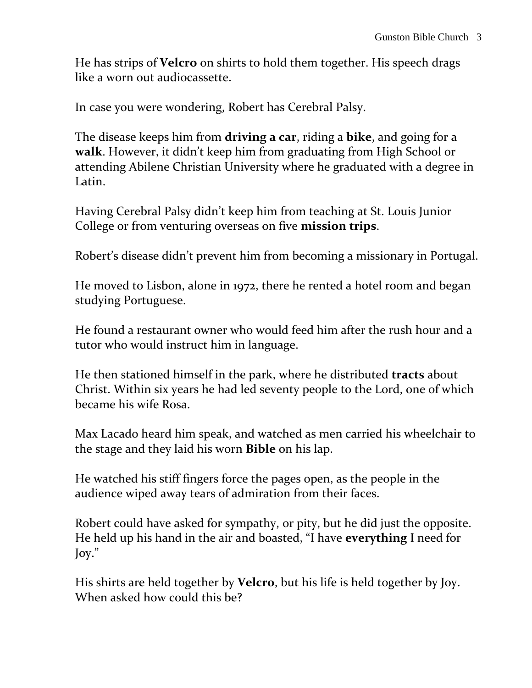He has strips of **Velcro** on shirts to hold them together. His speech drags like a worn out audiocassette.

In case you were wondering, Robert has Cerebral Palsy.

The disease keeps him from **driving a car**, riding a **bike**, and going for a **walk**. However, it didn't keep him from graduating from High School or attending Abilene Christian University where he graduated with a degree in Latin.

Having Cerebral Palsy didn't keep him from teaching at St. Louis Junior College or from venturing overseas on five **mission trips**.

Robert's disease didn't prevent him from becoming a missionary in Portugal.

He moved to Lisbon, alone in 1972, there he rented a hotel room and began studying Portuguese.

He found a restaurant owner who would feed him after the rush hour and a tutor who would instruct him in language.

He then stationed himself in the park, where he distributed **tracts** about Christ. Within six years he had led seventy people to the Lord, one of which became his wife Rosa.

Max Lacado heard him speak, and watched as men carried his wheelchair to the stage and they laid his worn **Bible** on his lap.

He watched his stiff fingers force the pages open, as the people in the audience wiped away tears of admiration from their faces.

Robert could have asked for sympathy, or pity, but he did just the opposite. He held up his hand in the air and boasted, "I have **everything** I need for Joy."

His shirts are held together by **Velcro**, but his life is held together by Joy. When asked how could this be?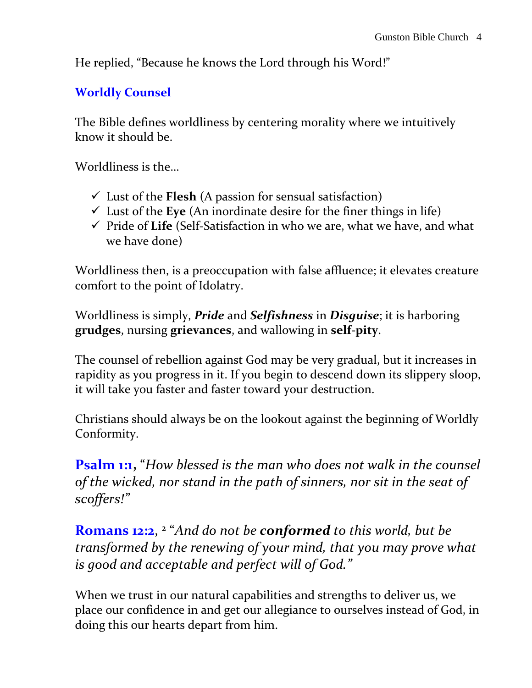He replied, "Because he knows the Lord through his Word!"

#### **Worldly Counsel**

The Bible defines worldliness by centering morality where we intuitively know it should be.

Worldliness is the…

- $\checkmark$  Lust of the **Flesh** (A passion for sensual satisfaction)
- $\checkmark$  Lust of the Eye (An inordinate desire for the finer things in life)
- Pride of **Life** (Self-Satisfaction in who we are, what we have, and what we have done)

Worldliness then, is a preoccupation with false affluence; it elevates creature comfort to the point of Idolatry.

Worldliness is simply, *Pride* and *Selfishness* in *Disguise*; it is harboring **grudges**, nursing **grievances**, and wallowing in **self-pity**.

The counsel of rebellion against God may be very gradual, but it increases in rapidity as you progress in it. If you begin to descend down its slippery sloop, it will take you faster and faster toward your destruction.

Christians should always be on the lookout against the beginning of Worldly Conformity.

**Psalm 1:1,** "*How blessed is the man who does not walk in the counsel of the wicked, nor stand in the path of sinners, nor sit in the seat of scoffers!"*

**Romans 12:2**, 2 "*And do not be conformed to this world, but be transformed by the renewing of your mind, that you may prove what is good and acceptable and perfect will of God."*

When we trust in our natural capabilities and strengths to deliver us, we place our confidence in and get our allegiance to ourselves instead of God, in doing this our hearts depart from him.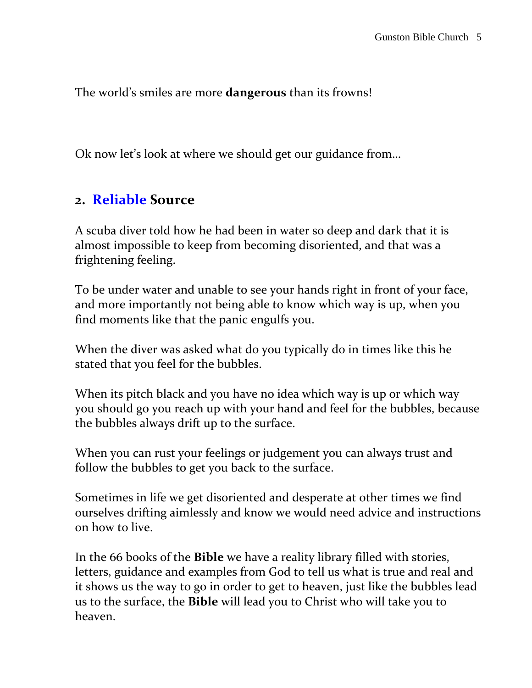The world's smiles are more **dangerous** than its frowns!

Ok now let's look at where we should get our guidance from…

#### **2. Reliable Source**

A scuba diver told how he had been in water so deep and dark that it is almost impossible to keep from becoming disoriented, and that was a frightening feeling.

To be under water and unable to see your hands right in front of your face, and more importantly not being able to know which way is up, when you find moments like that the panic engulfs you.

When the diver was asked what do you typically do in times like this he stated that you feel for the bubbles.

When its pitch black and you have no idea which way is up or which way you should go you reach up with your hand and feel for the bubbles, because the bubbles always drift up to the surface.

When you can rust your feelings or judgement you can always trust and follow the bubbles to get you back to the surface.

Sometimes in life we get disoriented and desperate at other times we find ourselves drifting aimlessly and know we would need advice and instructions on how to live.

In the 66 books of the **Bible** we have a reality library filled with stories, letters, guidance and examples from God to tell us what is true and real and it shows us the way to go in order to get to heaven, just like the bubbles lead us to the surface, the **Bible** will lead you to Christ who will take you to heaven.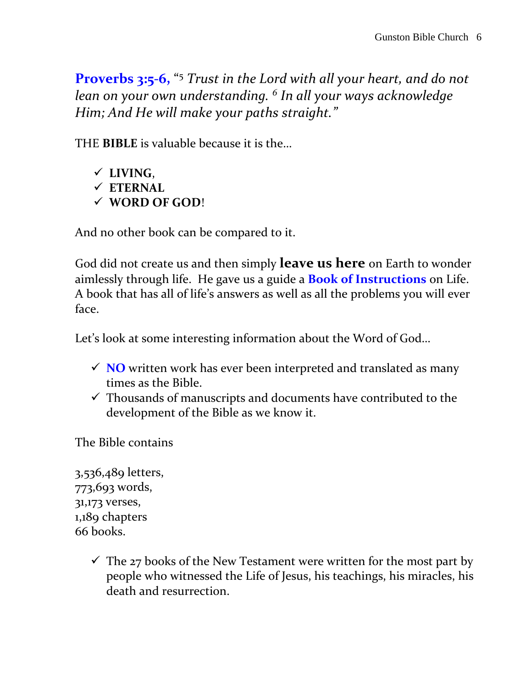**Proverbs 3:5-6,** " <sup>5</sup> *Trust in the Lord with all your heart, and do not lean on your own understanding. <sup>6</sup> In all your ways acknowledge Him; And He will make your paths straight."*

THE **BIBLE** is valuable because it is the…

 **LIVING**, **ETERNAL WORD OF GOD**!

And no other book can be compared to it.

God did not create us and then simply **leave us here** on Earth to wonder aimlessly through life. He gave us a guide a **Book of Instructions** on Life. A book that has all of life's answers as well as all the problems you will ever face.

Let's look at some interesting information about the Word of God…

- $\checkmark$  **NO** written work has ever been interpreted and translated as many times as the Bible.
- $\checkmark$  Thousands of manuscripts and documents have contributed to the development of the Bible as we know it.

The Bible contains

3,536,489 letters, 773,693 words, 31,173 verses, 1,189 chapters 66 books.

> $\checkmark$  The 27 books of the New Testament were written for the most part by people who witnessed the Life of Jesus, his teachings, his miracles, his death and resurrection.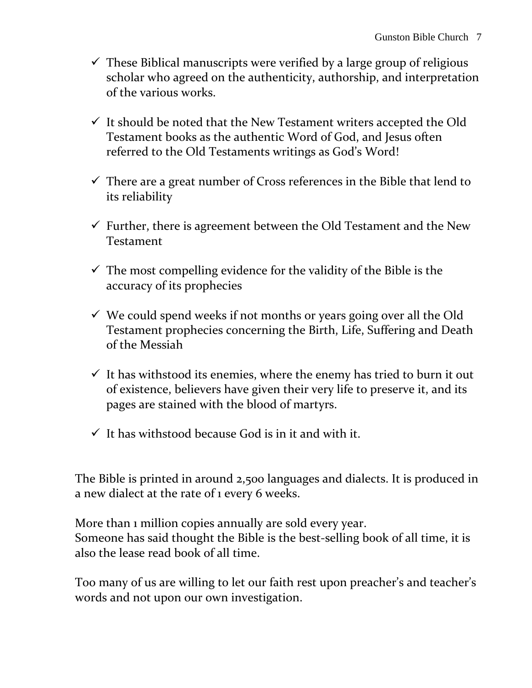- $\checkmark$  These Biblical manuscripts were verified by a large group of religious scholar who agreed on the authenticity, authorship, and interpretation of the various works.
- $\checkmark$  It should be noted that the New Testament writers accepted the Old Testament books as the authentic Word of God, and Jesus often referred to the Old Testaments writings as God's Word!
- $\checkmark$  There are a great number of Cross references in the Bible that lend to its reliability
- $\checkmark$  Further, there is agreement between the Old Testament and the New Testament
- $\checkmark$  The most compelling evidence for the validity of the Bible is the accuracy of its prophecies
- $\checkmark$  We could spend weeks if not months or years going over all the Old Testament prophecies concerning the Birth, Life, Suffering and Death of the Messiah
- $\checkmark$  It has withstood its enemies, where the enemy has tried to burn it out of existence, believers have given their very life to preserve it, and its pages are stained with the blood of martyrs.
- $\checkmark$  It has withstood because God is in it and with it.

The Bible is printed in around 2,500 languages and dialects. It is produced in a new dialect at the rate of 1 every 6 weeks.

More than 1 million copies annually are sold every year. Someone has said thought the Bible is the best-selling book of all time, it is also the lease read book of all time.

Too many of us are willing to let our faith rest upon preacher's and teacher's words and not upon our own investigation.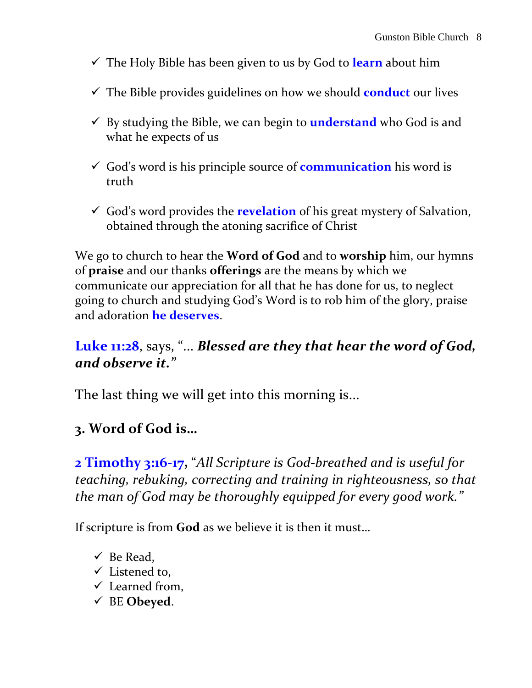- The Holy Bible has been given to us by God to **learn** about him
- The Bible provides guidelines on how we should **conduct** our lives
- By studying the Bible, we can begin to **understand** who God is and what he expects of us
- God's word is his principle source of **communication** his word is truth
- God's word provides the **revelation** of his great mystery of Salvation, obtained through the atoning sacrifice of Christ

We go to church to hear the **Word of God** and to **worship** him, our hymns of **praise** and our thanks **offerings** are the means by which we communicate our appreciation for all that he has done for us, to neglect going to church and studying God's Word is to rob him of the glory, praise and adoration **he deserves**.

### **Luke 11:28**, says, "... *Blessed are they that hear the word of God, and observe it."*

The last thing we will get into this morning is...

## **3. Word of God is…**

**2 Timothy 3:16-17,** "*All Scripture is God-breathed and is useful for teaching, rebuking, correcting and training in righteousness, so that the man of God may be thoroughly equipped for every good work."*

If scripture is from **God** as we believe it is then it must…

- $\checkmark$  Be Read,
- $\checkmark$  Listened to,
- $\checkmark$  Learned from,
- BE **Obeyed**.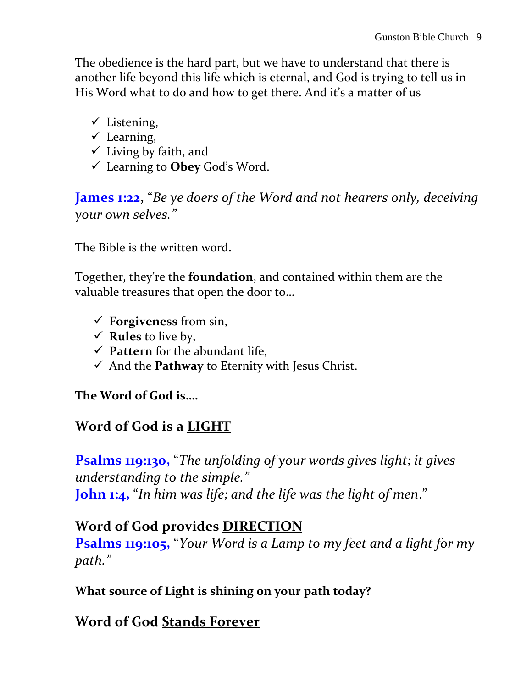The obedience is the hard part, but we have to understand that there is another life beyond this life which is eternal, and God is trying to tell us in His Word what to do and how to get there. And it's a matter of us

- $\checkmark$  Listening,
- $\checkmark$  Learning,
- $\checkmark$  Living by faith, and
- Learning to **Obey** God's Word.

**James 1:22,** "*Be ye doers of the Word and not hearers only, deceiving your own selves."*

The Bible is the written word.

Together, they're the **foundation**, and contained within them are the valuable treasures that open the door to…

- **Forgiveness** from sin,
- $\checkmark$  **Rules** to live by,
- **Pattern** for the abundant life,
- $\checkmark$  And the **Pathway** to Eternity with Jesus Christ.

#### **The Word of God is….**

# **Word of God is a LIGHT**

**Psalms 119:130,** "*The unfolding of your words gives light; it gives understanding to the simple."* **John 1:4,** "*In him was life; and the life was the light of men*."

## **Word of God provides DIRECTION**

**Psalms 119:105,** "*Your Word is a Lamp to my feet and a light for my path."* 

**What source of Light is shining on your path today?**

## **Word of God Stands Forever**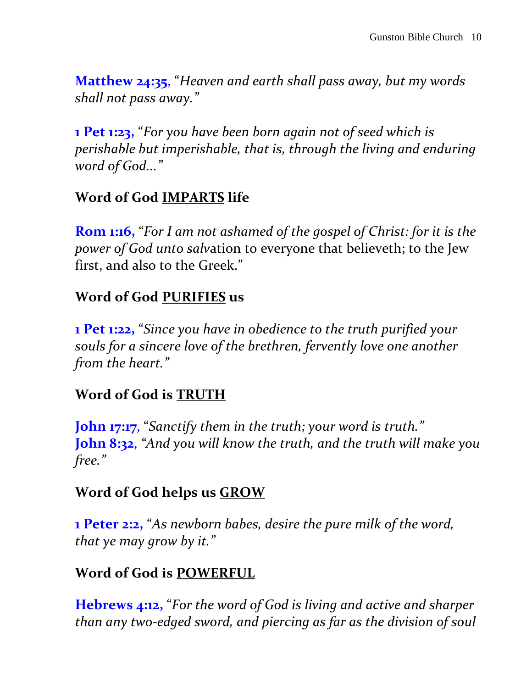**Matthew 24:35**, "*Heaven and earth shall pass away, but my words shall not pass away."*

**1 Pet 1:23,** "*For you have been born again not of seed which is perishable but imperishable, that is, through the living and enduring word of God..."*

# **Word of God IMPARTS life**

**Rom 1:16,** "*For I am not ashamed of the gospel of Christ: for it is the power of God unto salv*ation to everyone that believeth; to the Jew first, and also to the Greek."

# **Word of God PURIFIES us**

**1 Pet 1:22,** "*Since you have in obedience to the truth purified your souls for a sincere love of the brethren, fervently love one another from the heart."* 

# **Word of God is TRUTH**

**John 17:17**, "*Sanctify them in the truth; your word is truth."* **John 8:32**, *"And you will know the truth, and the truth will make you free."*

# **Word of God helps us GROW**

**1 Peter 2:2,** "*As newborn babes, desire the pure milk of the word, that ye may grow by it."*

# **Word of God is POWERFUL**

**Hebrews 4:12,** "*For the word of God is living and active and sharper than any two-edged sword, and piercing as far as the division of soul*